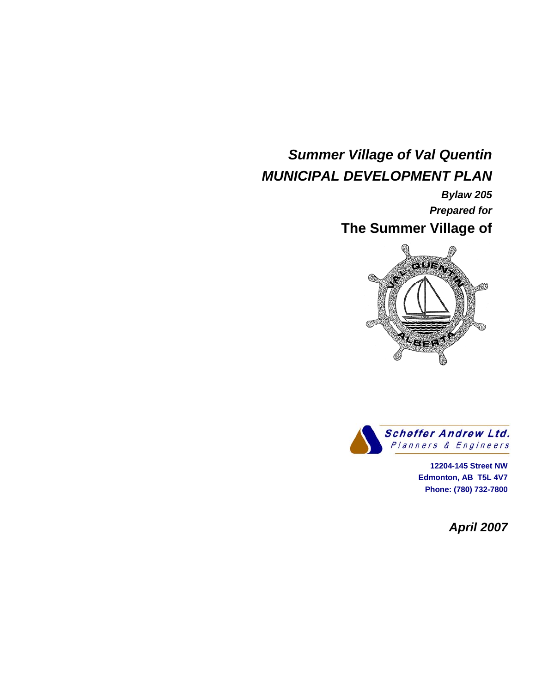## *Summer Village of Val Quentin MUNICIPAL DEVELOPMENT PLAN*

 *Bylaw 205 Prepared for*  **The Summer Village of** 





 <sup>T</sup>**12204-145 Street NW Edmonton, AB T5L 4V7 Phone: (780) 732-7800** 

*April 2007*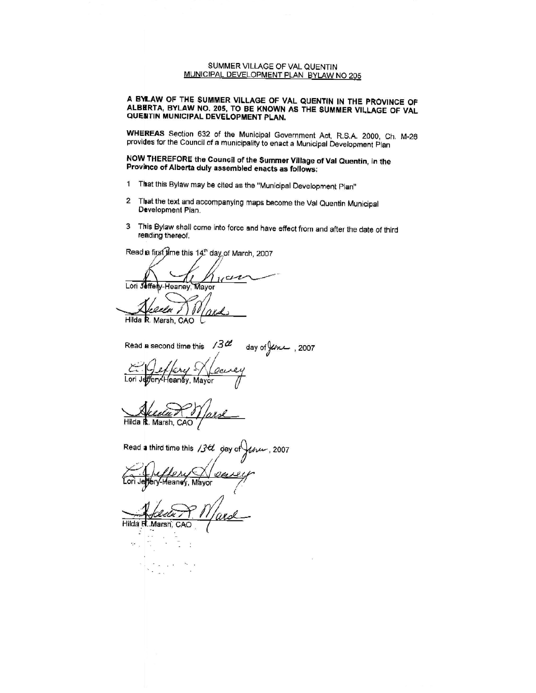#### SUMMER VILLAGE OF VAL QUENTIN MUNICIPAL DEVELOPMENT PLAN BYLAW NO 205

A BYLAW OF THE SUMMER VILLAGE OF VAL QUENTIN IN THE PROVINCE OF ALBERTA, BYLAW NO. 205, TO BE KNOWN AS THE SUMMER VILLAGE OF VALACIENTIN MUNICIPAL DEVELOPMENT PLAN.

WHEREAS Section 632 of the Municipal Government Act, R.S.A. 2000, Ch. M-26 provides for the Council of a municipality to enact a Municipal Development Plan

NOW THEREFORE the Council of the Summer Village of Val Quentin, in the Province of Alberta duly assembled enacts as follows:

- 1 That this Bylaw may be cited as the "Municipal Development Plan"
- $\overline{2}$ That the text and accompanying maps become the Val Quentin Municipal Development Plan.
- This Bylaw shall come into force and have effect from and after the date of third 3 reading thereof.

Read a first time this 14th day of March, 2007

 $u$ cr Lori Jeffely-Heaney Mayor anla Hilda R. Marsh, CAO

Read a second time this  $3d$ day of  $\frac{1}{2}$  (2007)

ffery-Heaney, Mayor Lori J

Hilda R. Marsh, CAO

Read a third time this /34 day of  $-$ , 2007

 $\mathcal{O}$ di féry-Meaney, Mayor

Hilda R. Marsh, CAC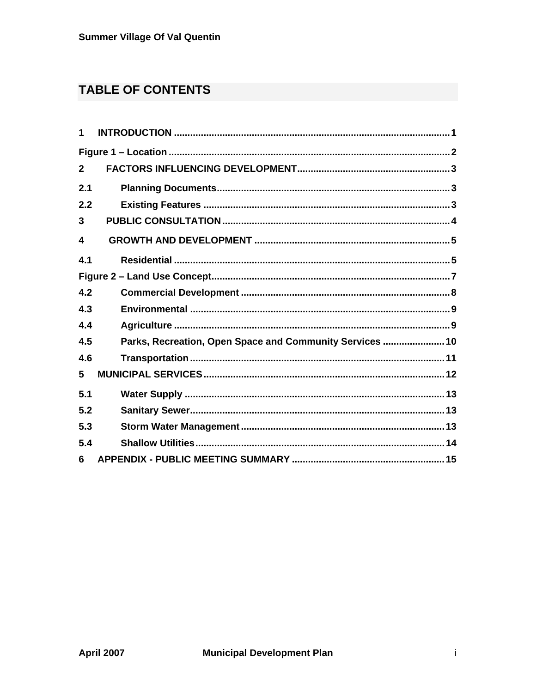## **TABLE OF CONTENTS**

| 1              |                                                          |
|----------------|----------------------------------------------------------|
|                |                                                          |
| $\overline{2}$ |                                                          |
| 2.1            |                                                          |
| 2.2            |                                                          |
| 3              |                                                          |
| 4              |                                                          |
| 4.1            |                                                          |
|                |                                                          |
| 4.2            |                                                          |
| 4.3            |                                                          |
| 4.4            |                                                          |
| 4.5            | Parks, Recreation, Open Space and Community Services  10 |
| 4.6            |                                                          |
| 5              |                                                          |
| 5.1            |                                                          |
| 5.2            |                                                          |
| 5.3            |                                                          |
| 5.4            |                                                          |
| 6              |                                                          |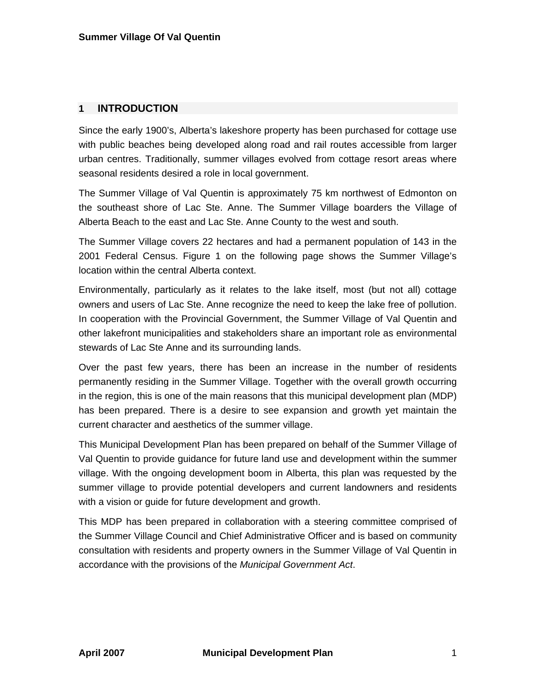## **1 INTRODUCTION**

Since the early 1900's, Alberta's lakeshore property has been purchased for cottage use with public beaches being developed along road and rail routes accessible from larger urban centres. Traditionally, summer villages evolved from cottage resort areas where seasonal residents desired a role in local government.

The Summer Village of Val Quentin is approximately 75 km northwest of Edmonton on the southeast shore of Lac Ste. Anne. The Summer Village boarders the Village of Alberta Beach to the east and Lac Ste. Anne County to the west and south.

The Summer Village covers 22 hectares and had a permanent population of 143 in the 2001 Federal Census. Figure 1 on the following page shows the Summer Village's location within the central Alberta context.

Environmentally, particularly as it relates to the lake itself, most (but not all) cottage owners and users of Lac Ste. Anne recognize the need to keep the lake free of pollution. In cooperation with the Provincial Government, the Summer Village of Val Quentin and other lakefront municipalities and stakeholders share an important role as environmental stewards of Lac Ste Anne and its surrounding lands.

Over the past few years, there has been an increase in the number of residents permanently residing in the Summer Village. Together with the overall growth occurring in the region, this is one of the main reasons that this municipal development plan (MDP) has been prepared. There is a desire to see expansion and growth yet maintain the current character and aesthetics of the summer village.

This Municipal Development Plan has been prepared on behalf of the Summer Village of Val Quentin to provide guidance for future land use and development within the summer village. With the ongoing development boom in Alberta, this plan was requested by the summer village to provide potential developers and current landowners and residents with a vision or guide for future development and growth.

This MDP has been prepared in collaboration with a steering committee comprised of the Summer Village Council and Chief Administrative Officer and is based on community consultation with residents and property owners in the Summer Village of Val Quentin in accordance with the provisions of the *Municipal Government Act*.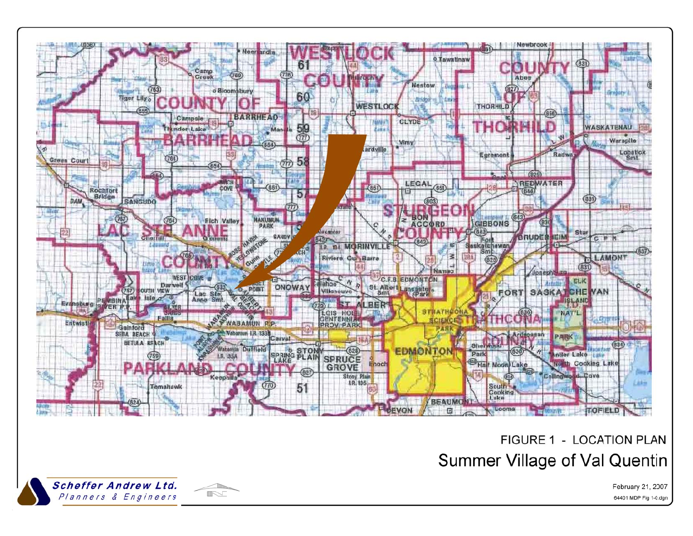

# FIGURE 1 - LOCATION PLAN **Summer Village of Val Quentin**



February 21, 2007 64401 MDP Fig 1-0.dgn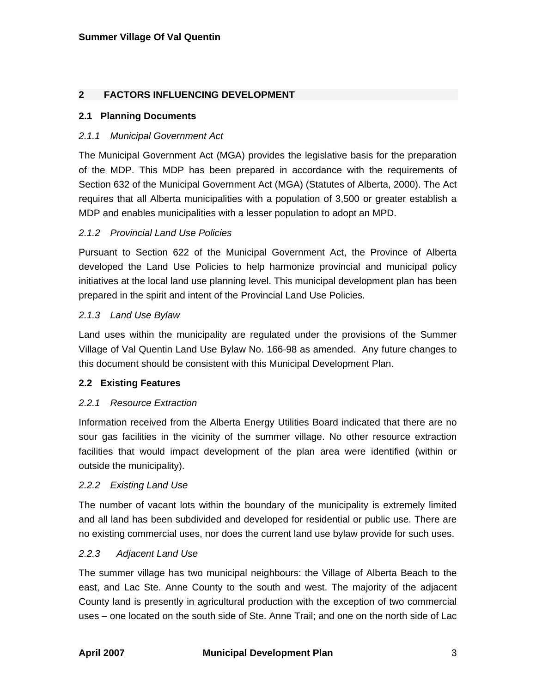## **2 FACTORS INFLUENCING DEVELOPMENT**

## **2.1 Planning Documents**

## *2.1.1 Municipal Government Act*

The Municipal Government Act (MGA) provides the legislative basis for the preparation of the MDP. This MDP has been prepared in accordance with the requirements of Section 632 of the Municipal Government Act (MGA) (Statutes of Alberta, 2000). The Act requires that all Alberta municipalities with a population of 3,500 or greater establish a MDP and enables municipalities with a lesser population to adopt an MPD.

## *2.1.2 Provincial Land Use Policies*

Pursuant to Section 622 of the Municipal Government Act, the Province of Alberta developed the Land Use Policies to help harmonize provincial and municipal policy initiatives at the local land use planning level. This municipal development plan has been prepared in the spirit and intent of the Provincial Land Use Policies.

## *2.1.3 Land Use Bylaw*

Land uses within the municipality are regulated under the provisions of the Summer Village of Val Quentin Land Use Bylaw No. 166-98 as amended. Any future changes to this document should be consistent with this Municipal Development Plan.

## **2.2 Existing Features**

## *2.2.1 Resource Extraction*

Information received from the Alberta Energy Utilities Board indicated that there are no sour gas facilities in the vicinity of the summer village. No other resource extraction facilities that would impact development of the plan area were identified (within or outside the municipality).

## *2.2.2 Existing Land Use*

The number of vacant lots within the boundary of the municipality is extremely limited and all land has been subdivided and developed for residential or public use. There are no existing commercial uses, nor does the current land use bylaw provide for such uses.

## *2.2.3 Adjacent Land Use*

The summer village has two municipal neighbours: the Village of Alberta Beach to the east, and Lac Ste. Anne County to the south and west. The majority of the adjacent County land is presently in agricultural production with the exception of two commercial uses – one located on the south side of Ste. Anne Trail; and one on the north side of Lac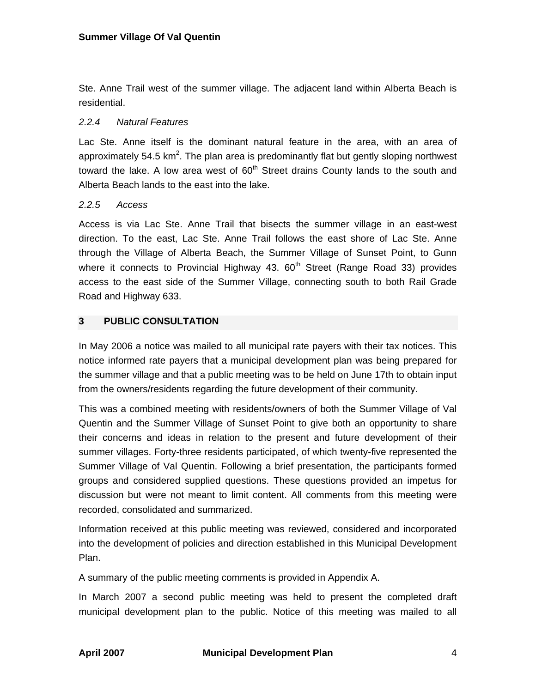Ste. Anne Trail west of the summer village. The adjacent land within Alberta Beach is residential.

## *2.2.4 Natural Features*

Lac Ste. Anne itself is the dominant natural feature in the area, with an area of approximately 54.5  $km^2$ . The plan area is predominantly flat but gently sloping northwest toward the lake. A low area west of  $60<sup>th</sup>$  Street drains County lands to the south and Alberta Beach lands to the east into the lake.

## *2.2.5 Access*

Access is via Lac Ste. Anne Trail that bisects the summer village in an east-west direction. To the east, Lac Ste. Anne Trail follows the east shore of Lac Ste. Anne through the Village of Alberta Beach, the Summer Village of Sunset Point, to Gunn where it connects to Provincial Highway 43.  $60<sup>th</sup>$  Street (Range Road 33) provides access to the east side of the Summer Village, connecting south to both Rail Grade Road and Highway 633.

## **3 PUBLIC CONSULTATION**

In May 2006 a notice was mailed to all municipal rate payers with their tax notices. This notice informed rate payers that a municipal development plan was being prepared for the summer village and that a public meeting was to be held on June 17th to obtain input from the owners/residents regarding the future development of their community.

This was a combined meeting with residents/owners of both the Summer Village of Val Quentin and the Summer Village of Sunset Point to give both an opportunity to share their concerns and ideas in relation to the present and future development of their summer villages. Forty-three residents participated, of which twenty-five represented the Summer Village of Val Quentin. Following a brief presentation, the participants formed groups and considered supplied questions. These questions provided an impetus for discussion but were not meant to limit content. All comments from this meeting were recorded, consolidated and summarized.

Information received at this public meeting was reviewed, considered and incorporated into the development of policies and direction established in this Municipal Development Plan.

A summary of the public meeting comments is provided in Appendix A.

In March 2007 a second public meeting was held to present the completed draft municipal development plan to the public. Notice of this meeting was mailed to all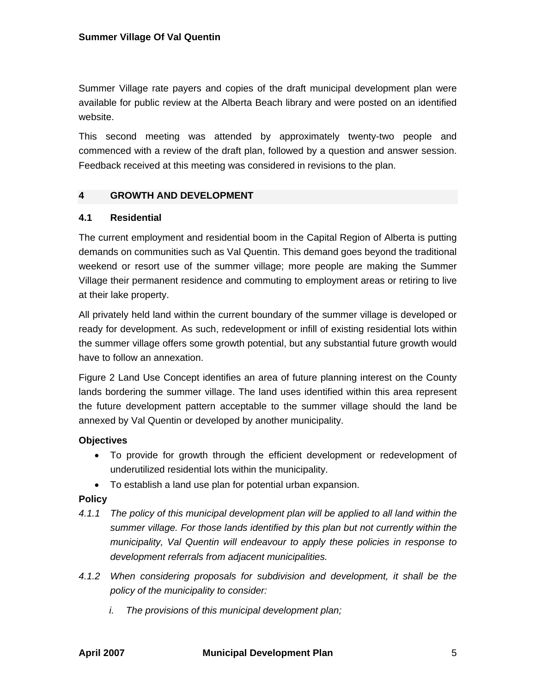Summer Village rate payers and copies of the draft municipal development plan were available for public review at the Alberta Beach library and were posted on an identified website.

This second meeting was attended by approximately twenty-two people and commenced with a review of the draft plan, followed by a question and answer session. Feedback received at this meeting was considered in revisions to the plan.

## **4 GROWTH AND DEVELOPMENT**

## **4.1 Residential**

The current employment and residential boom in the Capital Region of Alberta is putting demands on communities such as Val Quentin. This demand goes beyond the traditional weekend or resort use of the summer village; more people are making the Summer Village their permanent residence and commuting to employment areas or retiring to live at their lake property.

All privately held land within the current boundary of the summer village is developed or ready for development. As such, redevelopment or infill of existing residential lots within the summer village offers some growth potential, but any substantial future growth would have to follow an annexation.

Figure 2 Land Use Concept identifies an area of future planning interest on the County lands bordering the summer village. The land uses identified within this area represent the future development pattern acceptable to the summer village should the land be annexed by Val Quentin or developed by another municipality.

## **Objectives**

- To provide for growth through the efficient development or redevelopment of underutilized residential lots within the municipality.
- To establish a land use plan for potential urban expansion.

## **Policy**

- *4.1.1 The policy of this municipal development plan will be applied to all land within the summer village. For those lands identified by this plan but not currently within the municipality, Val Quentin will endeavour to apply these policies in response to development referrals from adjacent municipalities.*
- *4.1.2 When considering proposals for subdivision and development, it shall be the policy of the municipality to consider:* 
	- *i. The provisions of this municipal development plan;*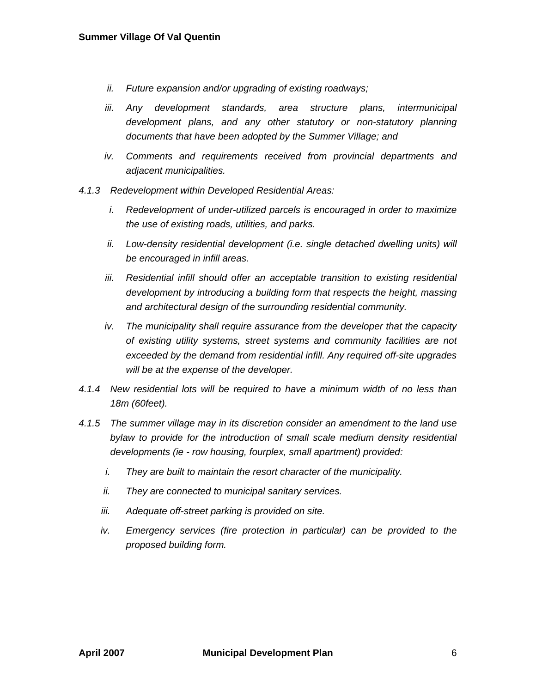- *ii. Future expansion and/or upgrading of existing roadways;*
- *iii. Any development standards, area structure plans, intermunicipal development plans, and any other statutory or non-statutory planning documents that have been adopted by the Summer Village; and*
- *iv. Comments and requirements received from provincial departments and adjacent municipalities.*
- *4.1.3 Redevelopment within Developed Residential Areas:* 
	- *i. Redevelopment of under-utilized parcels is encouraged in order to maximize the use of existing roads, utilities, and parks.*
	- *ii.* Low-density residential development (i.e. single detached dwelling units) will *be encouraged in infill areas.*
	- *iii.* Residential infill should offer an acceptable transition to existing residential *development by introducing a building form that respects the height, massing and architectural design of the surrounding residential community.*
	- *iv.* The municipality shall require assurance from the developer that the capacity *of existing utility systems, street systems and community facilities are not exceeded by the demand from residential infill. Any required off-site upgrades will be at the expense of the developer.*
- *4.1.4 New residential lots will be required to have a minimum width of no less than 18m (60feet).*
- *4.1.5 The summer village may in its discretion consider an amendment to the land use*  bylaw to provide for the introduction of small scale medium density residential *developments (ie - row housing, fourplex, small apartment) provided:* 
	- *i. They are built to maintain the resort character of the municipality.*
	- *ii. They are connected to municipal sanitary services.*
	- *iii. Adequate off-street parking is provided on site.*
	- *iv.* Emergency services (fire protection in particular) can be provided to the *proposed building form.*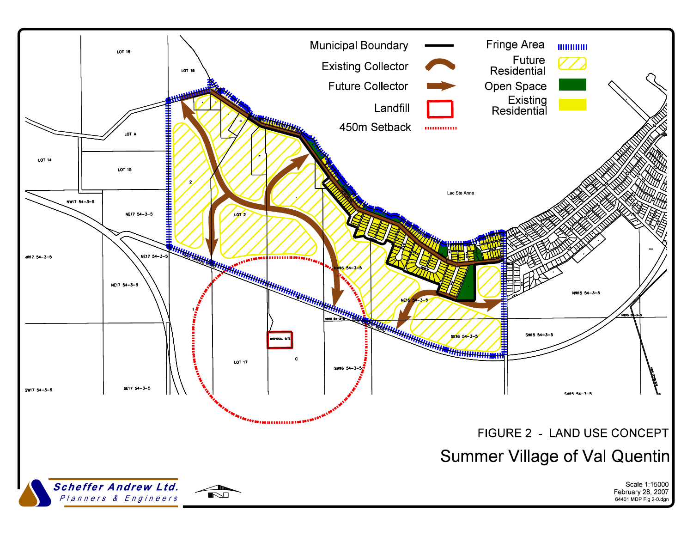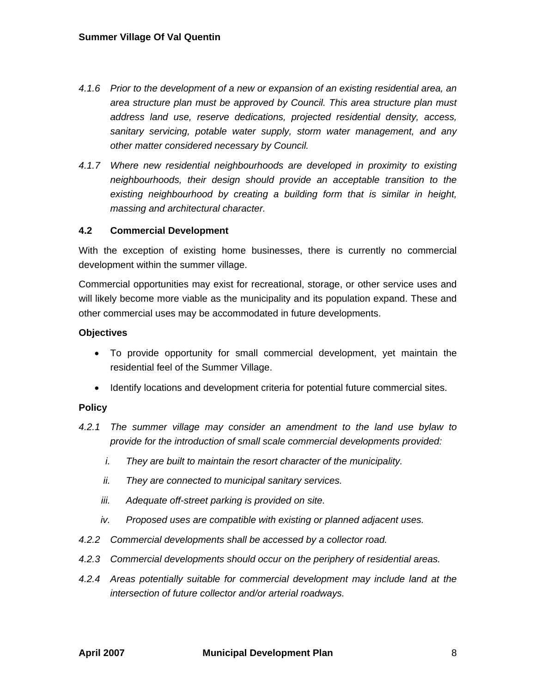- *4.1.6 Prior to the development of a new or expansion of an existing residential area, an area structure plan must be approved by Council. This area structure plan must address land use, reserve dedications, projected residential density, access, sanitary servicing, potable water supply, storm water management, and any other matter considered necessary by Council.*
- *4.1.7 Where new residential neighbourhoods are developed in proximity to existing neighbourhoods, their design should provide an acceptable transition to the existing neighbourhood by creating a building form that is similar in height, massing and architectural character.*

## **4.2 Commercial Development**

With the exception of existing home businesses, there is currently no commercial development within the summer village.

Commercial opportunities may exist for recreational, storage, or other service uses and will likely become more viable as the municipality and its population expand. These and other commercial uses may be accommodated in future developments.

## **Objectives**

- To provide opportunity for small commercial development, yet maintain the residential feel of the Summer Village.
- Identify locations and development criteria for potential future commercial sites.

## **Policy**

- *4.2.1 The summer village may consider an amendment to the land use bylaw to provide for the introduction of small scale commercial developments provided:* 
	- *i. They are built to maintain the resort character of the municipality.*
	- *ii. They are connected to municipal sanitary services.*
	- *iii. Adequate off-street parking is provided on site.*
	- *iv. Proposed uses are compatible with existing or planned adjacent uses.*
- *4.2.2 Commercial developments shall be accessed by a collector road.*
- *4.2.3 Commercial developments should occur on the periphery of residential areas.*
- *4.2.4 Areas potentially suitable for commercial development may include land at the intersection of future collector and/or arterial roadways.*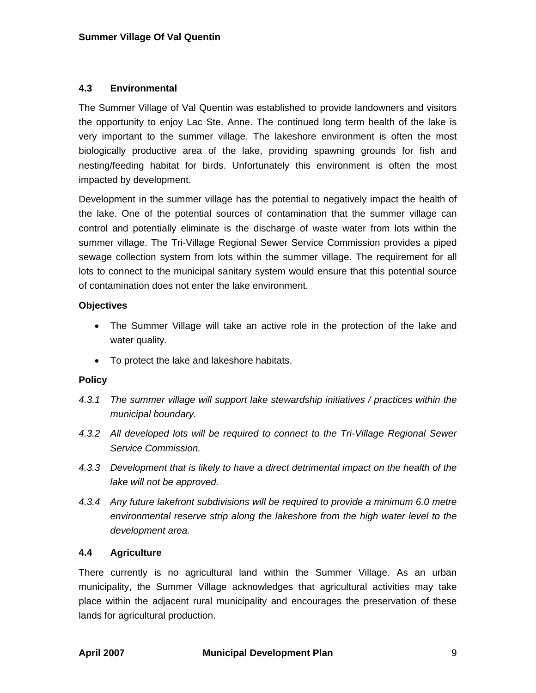## **4.3 Environmental**

The Summer Village of Val Quentin was established to provide landowners and visitors the opportunity to enjoy Lac Ste. Anne. The continued long term health of the lake is very important to the summer village. The lakeshore environment is often the most biologically productive area of the lake, providing spawning grounds for fish and nesting/feeding habitat for birds. Unfortunately this environment is often the most impacted by development.

Development in the summer village has the potential to negatively impact the health of the lake. One of the potential sources of contamination that the summer village can control and potentially eliminate is the discharge of waste water from lots within the summer village. The Tri-Village Regional Sewer Service Commission provides a piped sewage collection system from lots within the summer village. The requirement for all lots to connect to the municipal sanitary system would ensure that this potential source of contamination does not enter the lake environment.

## **Objectives**

- The Summer Village will take an active role in the protection of the lake and water quality.
- To protect the lake and lakeshore habitats.

## **Policy**

- *4.3.1 The summer village will support lake stewardship initiatives / practices within the municipal boundary.*
- *4.3.2 All developed lots will be required to connect to the Tri-Village Regional Sewer Service Commission.*
- *4.3.3 Development that is likely to have a direct detrimental impact on the health of the lake will not be approved.*
- *4.3.4 Any future lakefront subdivisions will be required to provide a minimum 6.0 metre environmental reserve strip along the lakeshore from the high water level to the development area.*

## **4.4 Agriculture**

There currently is no agricultural land within the Summer Village. As an urban municipality, the Summer Village acknowledges that agricultural activities may take place within the adjacent rural municipality and encourages the preservation of these lands for agricultural production.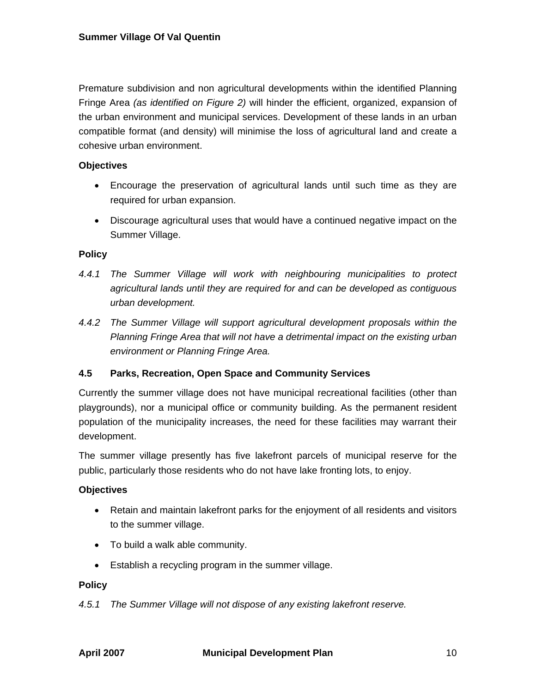Premature subdivision and non agricultural developments within the identified Planning Fringe Area *(as identified on Figure 2)* will hinder the efficient, organized, expansion of the urban environment and municipal services. Development of these lands in an urban compatible format (and density) will minimise the loss of agricultural land and create a cohesive urban environment.

## **Objectives**

- Encourage the preservation of agricultural lands until such time as they are required for urban expansion.
- Discourage agricultural uses that would have a continued negative impact on the Summer Village.

#### **Policy**

- *4.4.1 The Summer Village will work with neighbouring municipalities to protect agricultural lands until they are required for and can be developed as contiguous urban development.*
- *4.4.2 The Summer Village will support agricultural development proposals within the Planning Fringe Area that will not have a detrimental impact on the existing urban environment or Planning Fringe Area.*

## **4.5 Parks, Recreation, Open Space and Community Services**

Currently the summer village does not have municipal recreational facilities (other than playgrounds), nor a municipal office or community building. As the permanent resident population of the municipality increases, the need for these facilities may warrant their development.

The summer village presently has five lakefront parcels of municipal reserve for the public, particularly those residents who do not have lake fronting lots, to enjoy.

#### **Objectives**

- Retain and maintain lakefront parks for the enjoyment of all residents and visitors to the summer village.
- To build a walk able community.
- Establish a recycling program in the summer village.

#### **Policy**

*4.5.1 The Summer Village will not dispose of any existing lakefront reserve.*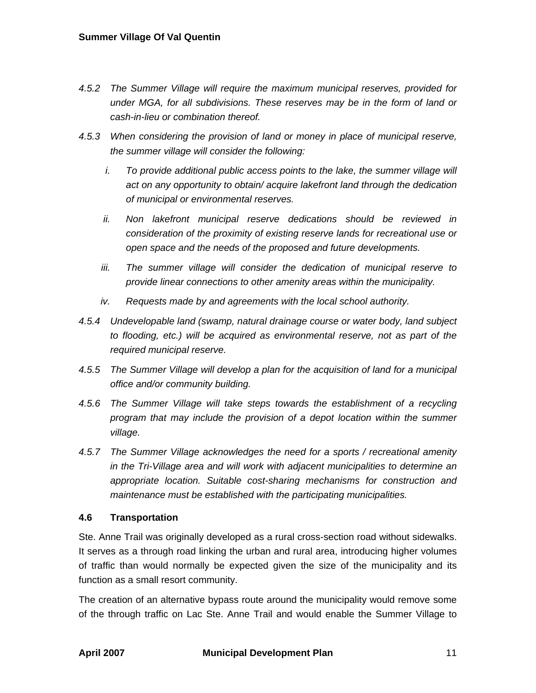- *4.5.2 The Summer Village will require the maximum municipal reserves, provided for under MGA, for all subdivisions. These reserves may be in the form of land or cash-in-lieu or combination thereof.*
- *4.5.3 When considering the provision of land or money in place of municipal reserve, the summer village will consider the following:* 
	- *i.* To provide additional public access points to the lake, the summer village will *act on any opportunity to obtain/ acquire lakefront land through the dedication of municipal or environmental reserves.*
	- *ii. Non lakefront municipal reserve dedications should be reviewed in consideration of the proximity of existing reserve lands for recreational use or open space and the needs of the proposed and future developments.*
	- *iii. The summer village will consider the dedication of municipal reserve to provide linear connections to other amenity areas within the municipality.*
	- *iv. Requests made by and agreements with the local school authority.*
- *4.5.4 Undevelopable land (swamp, natural drainage course or water body, land subject to flooding, etc.) will be acquired as environmental reserve, not as part of the required municipal reserve.*
- *4.5.5 The Summer Village will develop a plan for the acquisition of land for a municipal office and/or community building.*
- *4.5.6 The Summer Village will take steps towards the establishment of a recycling program that may include the provision of a depot location within the summer village.*
- *4.5.7 The Summer Village acknowledges the need for a sports / recreational amenity in the Tri-Village area and will work with adjacent municipalities to determine an appropriate location. Suitable cost-sharing mechanisms for construction and maintenance must be established with the participating municipalities.*

## **4.6 Transportation**

Ste. Anne Trail was originally developed as a rural cross-section road without sidewalks. It serves as a through road linking the urban and rural area, introducing higher volumes of traffic than would normally be expected given the size of the municipality and its function as a small resort community.

The creation of an alternative bypass route around the municipality would remove some of the through traffic on Lac Ste. Anne Trail and would enable the Summer Village to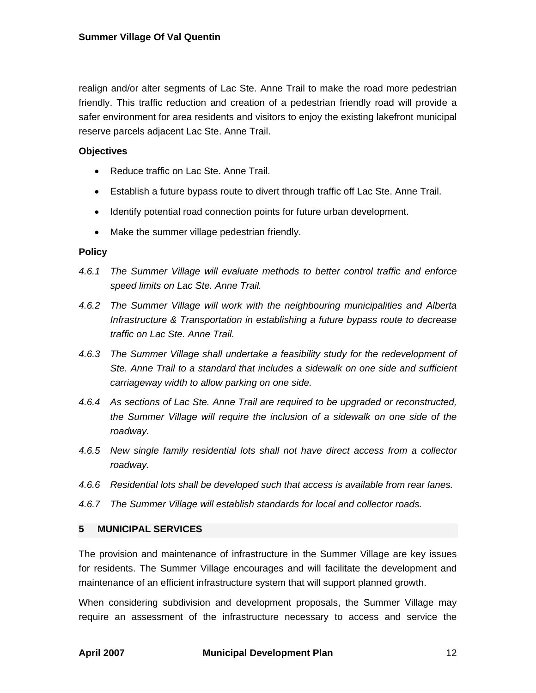realign and/or alter segments of Lac Ste. Anne Trail to make the road more pedestrian friendly. This traffic reduction and creation of a pedestrian friendly road will provide a safer environment for area residents and visitors to enjoy the existing lakefront municipal reserve parcels adjacent Lac Ste. Anne Trail.

### **Objectives**

- Reduce traffic on Lac Ste. Anne Trail.
- Establish a future bypass route to divert through traffic off Lac Ste. Anne Trail.
- Identify potential road connection points for future urban development.
- Make the summer village pedestrian friendly.

#### **Policy**

- *4.6.1 The Summer Village will evaluate methods to better control traffic and enforce speed limits on Lac Ste. Anne Trail.*
- *4.6.2 The Summer Village will work with the neighbouring municipalities and Alberta Infrastructure & Transportation in establishing a future bypass route to decrease traffic on Lac Ste. Anne Trail.*
- *4.6.3 The Summer Village shall undertake a feasibility study for the redevelopment of Ste. Anne Trail to a standard that includes a sidewalk on one side and sufficient carriageway width to allow parking on one side.*
- *4.6.4 As sections of Lac Ste. Anne Trail are required to be upgraded or reconstructed, the Summer Village will require the inclusion of a sidewalk on one side of the roadway.*
- *4.6.5 New single family residential lots shall not have direct access from a collector roadway.*
- *4.6.6 Residential lots shall be developed such that access is available from rear lanes.*
- *4.6.7 The Summer Village will establish standards for local and collector roads.*

## **5 MUNICIPAL SERVICES**

The provision and maintenance of infrastructure in the Summer Village are key issues for residents. The Summer Village encourages and will facilitate the development and maintenance of an efficient infrastructure system that will support planned growth.

When considering subdivision and development proposals, the Summer Village may require an assessment of the infrastructure necessary to access and service the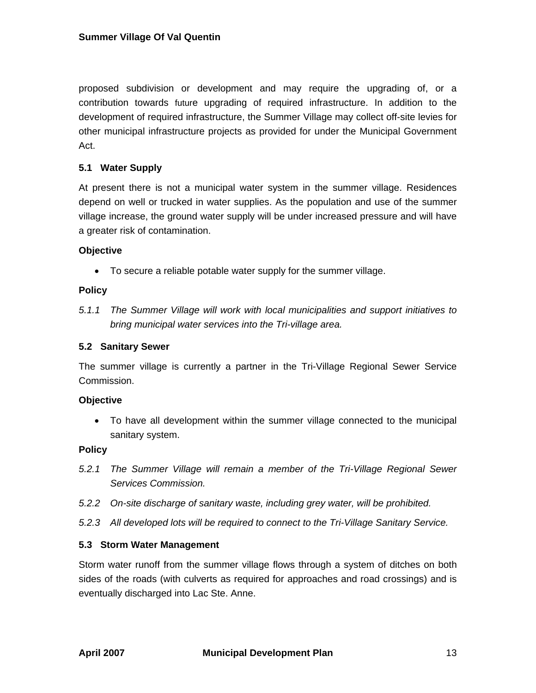proposed subdivision or development and may require the upgrading of, or a contribution towards future upgrading of required infrastructure. In addition to the development of required infrastructure, the Summer Village may collect off-site levies for other municipal infrastructure projects as provided for under the Municipal Government Act.

## **5.1 Water Supply**

At present there is not a municipal water system in the summer village. Residences depend on well or trucked in water supplies. As the population and use of the summer village increase, the ground water supply will be under increased pressure and will have a greater risk of contamination.

## **Objective**

• To secure a reliable potable water supply for the summer village.

#### **Policy**

*5.1.1 The Summer Village will work with local municipalities and support initiatives to bring municipal water services into the Tri-village area.* 

### **5.2 Sanitary Sewer**

The summer village is currently a partner in the Tri-Village Regional Sewer Service Commission.

#### **Objective**

• To have all development within the summer village connected to the municipal sanitary system.

#### **Policy**

- *5.2.1 The Summer Village will remain a member of the Tri-Village Regional Sewer Services Commission.*
- *5.2.2 On-site discharge of sanitary waste, including grey water, will be prohibited.*
- *5.2.3 All developed lots will be required to connect to the Tri-Village Sanitary Service.*

## **5.3 Storm Water Management**

Storm water runoff from the summer village flows through a system of ditches on both sides of the roads (with culverts as required for approaches and road crossings) and is eventually discharged into Lac Ste. Anne.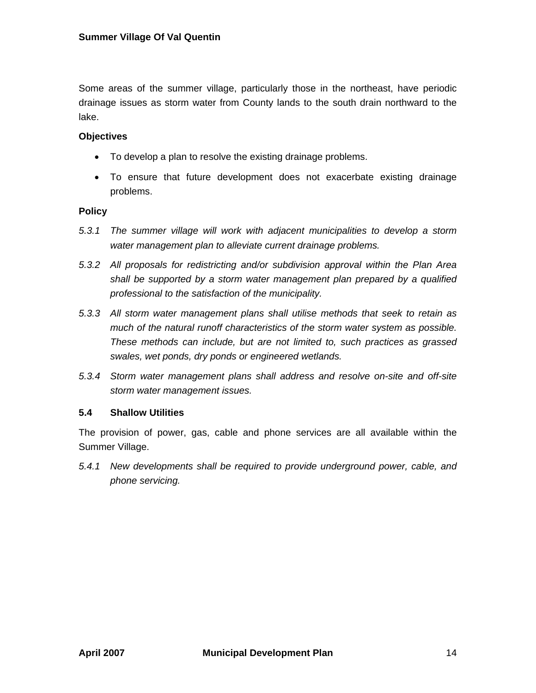Some areas of the summer village, particularly those in the northeast, have periodic drainage issues as storm water from County lands to the south drain northward to the lake.

## **Objectives**

- To develop a plan to resolve the existing drainage problems.
- To ensure that future development does not exacerbate existing drainage problems.

## **Policy**

- *5.3.1 The summer village will work with adjacent municipalities to develop a storm water management plan to alleviate current drainage problems.*
- *5.3.2 All proposals for redistricting and/or subdivision approval within the Plan Area shall be supported by a storm water management plan prepared by a qualified professional to the satisfaction of the municipality.*
- *5.3.3 All storm water management plans shall utilise methods that seek to retain as much of the natural runoff characteristics of the storm water system as possible. These methods can include, but are not limited to, such practices as grassed swales, wet ponds, dry ponds or engineered wetlands.*
- *5.3.4 Storm water management plans shall address and resolve on-site and off-site storm water management issues.*

## **5.4 Shallow Utilities**

The provision of power, gas, cable and phone services are all available within the Summer Village.

*5.4.1 New developments shall be required to provide underground power, cable, and phone servicing.*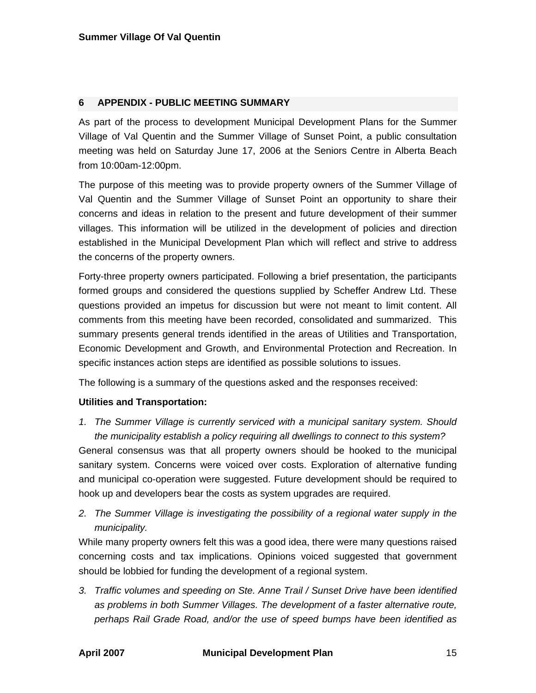#### **6 APPENDIX - PUBLIC MEETING SUMMARY**

As part of the process to development Municipal Development Plans for the Summer Village of Val Quentin and the Summer Village of Sunset Point, a public consultation meeting was held on Saturday June 17, 2006 at the Seniors Centre in Alberta Beach from 10:00am-12:00pm.

The purpose of this meeting was to provide property owners of the Summer Village of Val Quentin and the Summer Village of Sunset Point an opportunity to share their concerns and ideas in relation to the present and future development of their summer villages. This information will be utilized in the development of policies and direction established in the Municipal Development Plan which will reflect and strive to address the concerns of the property owners.

Forty-three property owners participated. Following a brief presentation, the participants formed groups and considered the questions supplied by Scheffer Andrew Ltd. These questions provided an impetus for discussion but were not meant to limit content. All comments from this meeting have been recorded, consolidated and summarized. This summary presents general trends identified in the areas of Utilities and Transportation, Economic Development and Growth, and Environmental Protection and Recreation. In specific instances action steps are identified as possible solutions to issues.

The following is a summary of the questions asked and the responses received:

## **Utilities and Transportation:**

*1. The Summer Village is currently serviced with a municipal sanitary system. Should the municipality establish a policy requiring all dwellings to connect to this system?* 

General consensus was that all property owners should be hooked to the municipal sanitary system. Concerns were voiced over costs. Exploration of alternative funding and municipal co-operation were suggested. Future development should be required to hook up and developers bear the costs as system upgrades are required.

*2. The Summer Village is investigating the possibility of a regional water supply in the municipality.* 

While many property owners felt this was a good idea, there were many questions raised concerning costs and tax implications. Opinions voiced suggested that government should be lobbied for funding the development of a regional system.

*3. Traffic volumes and speeding on Ste. Anne Trail / Sunset Drive have been identified as problems in both Summer Villages. The development of a faster alternative route, perhaps Rail Grade Road, and/or the use of speed bumps have been identified as*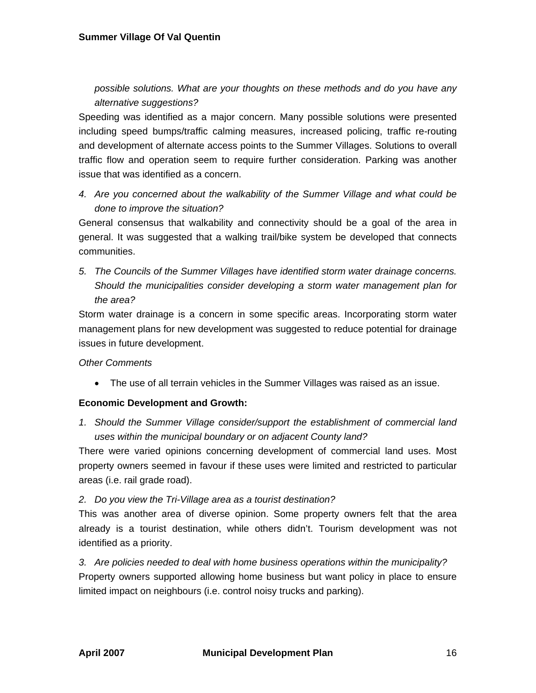*possible solutions. What are your thoughts on these methods and do you have any alternative suggestions?* 

Speeding was identified as a major concern. Many possible solutions were presented including speed bumps/traffic calming measures, increased policing, traffic re-routing and development of alternate access points to the Summer Villages. Solutions to overall traffic flow and operation seem to require further consideration. Parking was another issue that was identified as a concern.

*4. Are you concerned about the walkability of the Summer Village and what could be done to improve the situation?* 

General consensus that walkability and connectivity should be a goal of the area in general. It was suggested that a walking trail/bike system be developed that connects communities.

*5. The Councils of the Summer Villages have identified storm water drainage concerns. Should the municipalities consider developing a storm water management plan for the area?* 

Storm water drainage is a concern in some specific areas. Incorporating storm water management plans for new development was suggested to reduce potential for drainage issues in future development.

## *Other Comments*

• The use of all terrain vehicles in the Summer Villages was raised as an issue.

## **Economic Development and Growth:**

*1. Should the Summer Village consider/support the establishment of commercial land uses within the municipal boundary or on adjacent County land?* 

There were varied opinions concerning development of commercial land uses. Most property owners seemed in favour if these uses were limited and restricted to particular areas (i.e. rail grade road).

## *2. Do you view the Tri-Village area as a tourist destination?*

This was another area of diverse opinion. Some property owners felt that the area already is a tourist destination, while others didn't. Tourism development was not identified as a priority.

*3. Are policies needed to deal with home business operations within the municipality?*  Property owners supported allowing home business but want policy in place to ensure limited impact on neighbours (i.e. control noisy trucks and parking).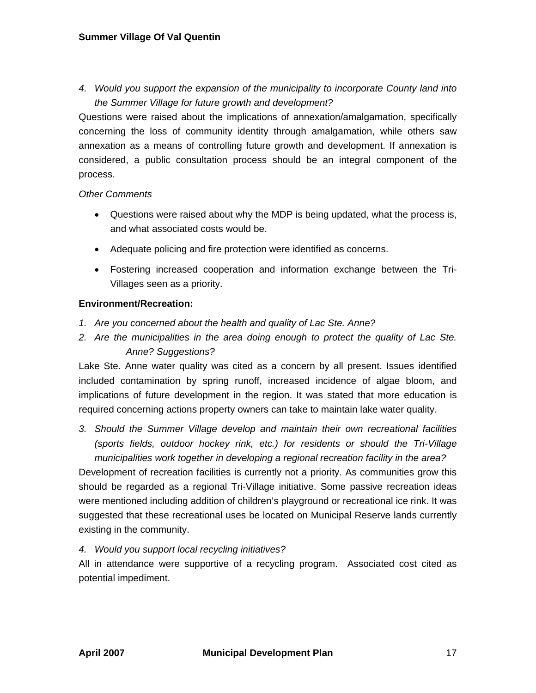### **Summer Village Of Val Quentin**

*4. Would you support the expansion of the municipality to incorporate County land into the Summer Village for future growth and development?* 

Questions were raised about the implications of annexation/amalgamation, specifically concerning the loss of community identity through amalgamation, while others saw annexation as a means of controlling future growth and development. If annexation is considered, a public consultation process should be an integral component of the process.

## *Other Comments*

- Questions were raised about why the MDP is being updated, what the process is, and what associated costs would be.
- Adequate policing and fire protection were identified as concerns.
- Fostering increased cooperation and information exchange between the Tri-Villages seen as a priority.

## **Environment/Recreation:**

- *1. Are you concerned about the health and quality of Lac Ste. Anne?*
- *2. Are the municipalities in the area doing enough to protect the quality of Lac Ste. Anne? Suggestions?*

Lake Ste. Anne water quality was cited as a concern by all present. Issues identified included contamination by spring runoff, increased incidence of algae bloom, and implications of future development in the region. It was stated that more education is required concerning actions property owners can take to maintain lake water quality.

*3. Should the Summer Village develop and maintain their own recreational facilities (sports fields, outdoor hockey rink, etc.) for residents or should the Tri-Village municipalities work together in developing a regional recreation facility in the area?* 

Development of recreation facilities is currently not a priority. As communities grow this should be regarded as a regional Tri-Village initiative. Some passive recreation ideas were mentioned including addition of children's playground or recreational ice rink. It was suggested that these recreational uses be located on Municipal Reserve lands currently existing in the community.

*4. Would you support local recycling initiatives?* 

All in attendance were supportive of a recycling program. Associated cost cited as potential impediment.